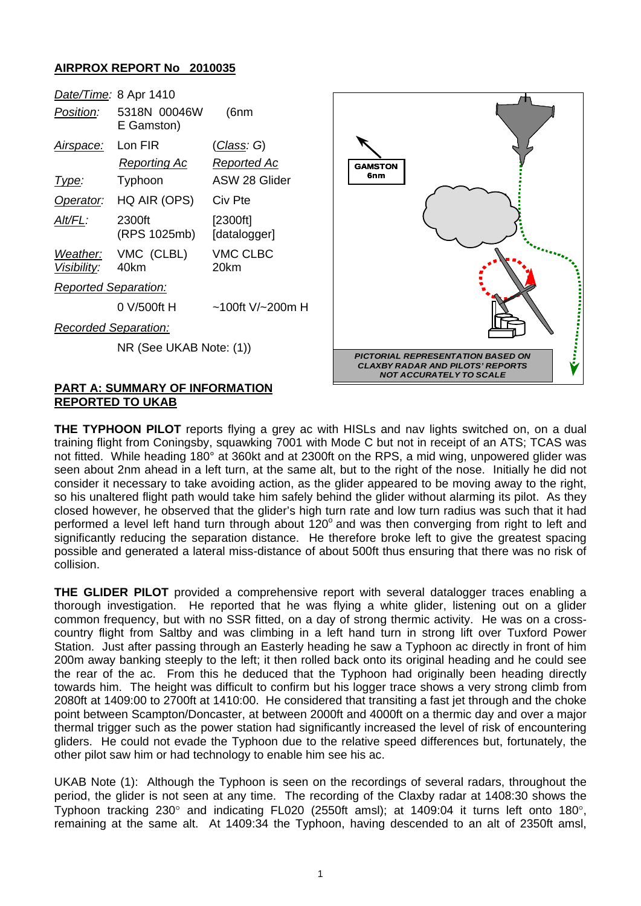## **AIRPROX REPORT No 2010035**

| Date/Time: 8 Apr 1410       |                             |                          |
|-----------------------------|-----------------------------|--------------------------|
| Position:                   | 5318N 00046W<br>E Gamston)  | (6nm                     |
| Air <u>space:</u>           | Lon FIR                     | (Class: G)               |
|                             | Reporting Ac                | Reported Ac              |
| Type:                       | Typhoon                     | ASW 28 Glider            |
| Operator:                   | HQ AIR (OPS)                | Civ Pte                  |
| <u>Alt/FL:</u>              | 2300ft<br>(RPS 1025mb)      | [2300ft]<br>[datalogger] |
| <i>Visibility:</i>          | Weather: VMC (CLBL)<br>40km | VMC CLBC<br>20km         |
| <b>Reported Separation:</b> |                             |                          |
|                             | 0 V/500ft H                 | $~100$ ft V/~200m H      |
| <b>Recorded Separation:</b> |                             |                          |
|                             | NR (See UKAB Note: (1))     |                          |



## **PART A: SUMMARY OF INFORMATION REPORTED TO UKAB**

**THE TYPHOON PILOT** reports flying a grey ac with HISLs and nav lights switched on, on a dual training flight from Coningsby, squawking 7001 with Mode C but not in receipt of an ATS; TCAS was not fitted. While heading 180° at 360kt and at 2300ft on the RPS, a mid wing, unpowered glider was seen about 2nm ahead in a left turn, at the same alt, but to the right of the nose. Initially he did not consider it necessary to take avoiding action, as the glider appeared to be moving away to the right, so his unaltered flight path would take him safely behind the glider without alarming its pilot. As they closed however, he observed that the glider's high turn rate and low turn radius was such that it had performed a level left hand turn through about  $120^\circ$  and was then converging from right to left and significantly reducing the separation distance. He therefore broke left to give the greatest spacing possible and generated a lateral miss-distance of about 500ft thus ensuring that there was no risk of collision.

**THE GLIDER PILOT** provided a comprehensive report with several datalogger traces enabling a thorough investigation. He reported that he was flying a white glider, listening out on a glider common frequency, but with no SSR fitted, on a day of strong thermic activity. He was on a crosscountry flight from Saltby and was climbing in a left hand turn in strong lift over Tuxford Power Station. Just after passing through an Easterly heading he saw a Typhoon ac directly in front of him 200m away banking steeply to the left; it then rolled back onto its original heading and he could see the rear of the ac. From this he deduced that the Typhoon had originally been heading directly towards him. The height was difficult to confirm but his logger trace shows a very strong climb from 2080ft at 1409:00 to 2700ft at 1410:00. He considered that transiting a fast jet through and the choke point between Scampton/Doncaster, at between 2000ft and 4000ft on a thermic day and over a major thermal trigger such as the power station had significantly increased the level of risk of encountering gliders. He could not evade the Typhoon due to the relative speed differences but, fortunately, the other pilot saw him or had technology to enable him see his ac.

UKAB Note (1): Although the Typhoon is seen on the recordings of several radars, throughout the period, the glider is not seen at any time. The recording of the Claxby radar at 1408:30 shows the Typhoon tracking 230° and indicating FL020 (2550ft amsl); at 1409:04 it turns left onto 180°, remaining at the same alt. At 1409:34 the Typhoon, having descended to an alt of 2350ft amsl,